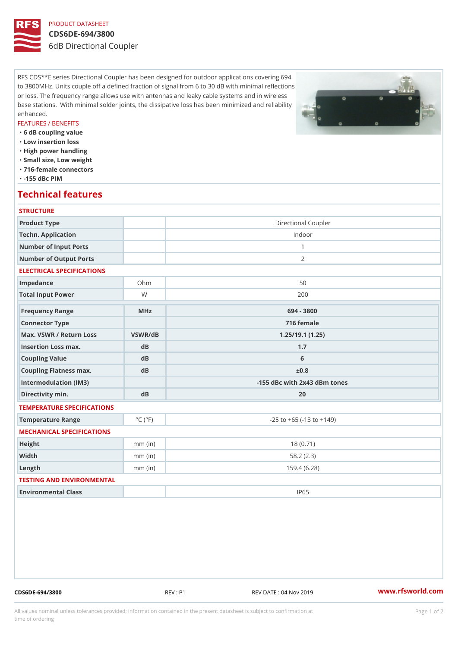# PRODUCT DATASHEET CDS6DE-694/3800 6dB Directional Coupler

RFS CDS\*\*E series Directional Coupler has been designed for outdoor applications covering 694 to 3800MHz. Units couple off a defined fraction of signal from 6 to 30 dB with minimal reflections or loss. The frequency range allows use with antennas and leaky cable systems and in wireless base stations. With minimal solder joints, the dissipative loss has been minimized and reliability enhanced.

#### FEATURES / BENEFITS

 "6 dB coupling value "Low insertion loss "High power handling "Small size, Low weight "716-female connectors "-155 dBc PIM

Technical features

# **STRUCTURE** Product Type **Directional Coupler** Techn. Application **Indoor** Number of Input Ports 1 Number of Output Ports 2 ELECTRICAL SPECIFICATIONS Impedance Ohm 50 Total Input Power W 200 Frequency Range MHz 694 - 3800 Connector Type 716 female Max. VSWR / Return LossVSWR/dB 1.25/19.1 (1.25) Insertion Loss max. dB dB 1.7 Coupling Value dB dB 6 Coupling Flatness max. dB  $\pm 0.8$ Intermodulation (IM3)  $\vert$  -155 dBc with 2x43 dBm tones Directivity min. dB 20 TEMPERATURE SPECIFICATIONS Temperature Range  $\begin{array}{c} \circ \text{C} \\ \circ \text{C} \end{array}$  (°F) -25 to +65 (-13 to +149) MECHANICAL SPECIFICATIONS Height mm (in) 18 (0.71) Width **mm** (in) 58.2 (2.3) Length mm (in) 159.4 (6.28) TESTING AND ENVIRONMENTAL Environmental Class IP65

CDS6DE-694/3800 REV : P1 REV DATE : 04 Nov 2019 [www.](https://www.rfsworld.com)rfsworld.com

All values nominal unless tolerances provided; information contained in the present datasheet is subject to Pcapgeign manation time of ordering